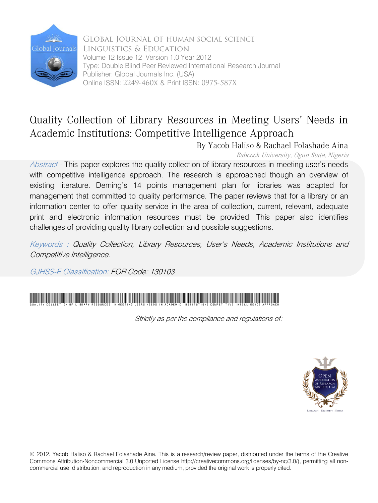

Global Journal of HUMAN SOCIAL SCIENCE Linguistics & Education Volume 12 Issue 12 Version 1.0 Year 2012 Type: Double Blind Peer Reviewed International Research Journal Publisher: Global Journals Inc. (USA) Online ISSN: 2249-460x & Print ISSN: 0975-587X

### Quality Collection of Library Resources in Meeting Users' Needs in Academic Institutions: Competitive Intelligence Approach

By Yacob Haliso & Rachael Folashade Aina

Babcock University, Ogun State, Nigeria

Abstract - This paper explores the quality collection of library resources in meeting user's needs with competitive intelligence approach. The research is approached though an overview of existing literature. Deming's 14 points management plan for libraries was adapted for management that committed to quality performance. The paper reviews that for a library or an information center to offer quality service in the area of collection, current, relevant, adequate print and electronic information resources must be provided. This paper also identifies challenges of providing quality library collection and possible suggestions.

Keywords : Quality Collection, Library Resources, User's Needs, Academic Institutions and Competitive Intelligence.

GJHSS-E Classification: FOR Code: 130103



Strictly as per the compliance and regulations of:



© 2012. Yacob Haliso & Rachael Folashade Aina. This is a research/review paper, distributed under the terms of the Creative Commons Attribution-Noncommercial 3.0 Unported License http://creativecommons.org/licenses/by-nc/3.0/), permitting all noncommercial use, distribution, and reproduction in any medium, provided the original work is properly cited.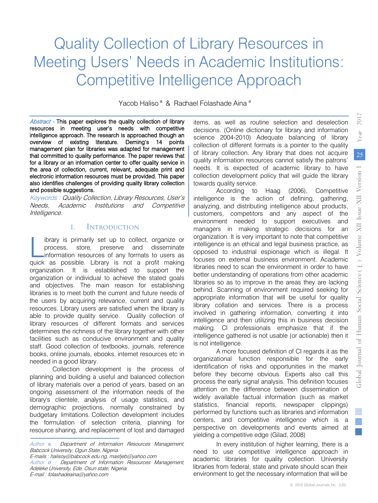## Quality Collection of Library Resources in Meeting Users' Needs in Academic Institutions: Competitive Intelligence Approach

Yacob Haliso <sup>α</sup> & Rachael Folashade Aina <sup>σ</sup>

Abstract - This paper explores the quality collection of library resources in meeting user's needs with competitive intelligence approach. The research is approached though an overview of existing literature. Deming's 14 points management plan for libraries was adapted for management that committed to quality performance. The paper reviews that for a library or an information center to offer quality service in the area of collection, current, relevant, adequate print and electronic information resources must be provided. This paper also identifies challenges of providing quality library collection and possible suggestions.

Keywords : Quality Collection, Library Resources, User's Needs, Academic Institutions and Competitive Intelligence.

#### I. Introduction

ibrary is primarily set up to collect, organize or process, store, preserve and disseminate information resources of any formats to users as library is primarily set up to collect, organize or process, store, preserve and disseminate information resources of any formats to users as quick as possible. Library is not a profit making organization. It is established to support the organization or individual to achieve the stated goals and objectives. The main reason for establishing libraries is to meet both the current and future needs of the users by acquiring relevance, current and quality resources. Library users are satisfied when the library is able to provide quality service. Quality collection of library resources of different formats and services determines the richness of the library together with other facilities such as conducive environment and quality staff. Good collection of textbooks, journals, reference books, online journals, ebooks, internet resources etc in needed in a good library.

Collection development is the process of planning and building a useful and balanced collection of library materials over a period of years, based on an ongoing assessment of the information needs of the library's clientele, analysis of usage statistics, and demographic projections, normally constrained by budgetary limitations. Collection development includes the formulation of selection criteria, planning for resource sharing, and replacement of lost and damaged

Author *σ* : Department of Information Resources Management, Adeleke University, Ede, Osun state, Nigeria. E-mail : folashadeaina@yahoo.com

items, as well as routine selection and deselection decisions. (Online dictionary for library and information science 2004-2010) Adequate balancing of library collection of different formats is a pointer to the quality of library collection. Any library that does not acquire quality information resources cannot satisfy the patrons' needs. It is expected of academic library to have collection development policy that will guide the library towards quality service.

According to Haag (2006), Competitive intelligence is the action of defining, gathering, analyzing, and distributing intelligence about products, customers, competitors and any aspect of the environment needed to support executives and managers in making strategic decisions for an organization. It is very important to note that competitive intelligence is an ethical and legal business practice, as opposed to industrial espionage which is illegal. It focuses on external business environment. Academic libraries need to scan the environment in order to have better understanding of operations from other academic libraries so as to improve in the areas they are lacking behind. Scanning of environment required seeking for appropriate information that will be useful for quality library collation and services. There is a process involved in gathering information, converting it into intelligence and then utilizing this in business decision making. CI professionals emphasize that if the intelligence gathered is not usable (or actionable) then it is not intelligence.

A more focused definition of CI regards it as the organizational function responsible for the early identification of risks and opportunities in the market before they become obvious. Experts also call this process the early signal analysis. This definition focuses attention on the difference between dissemination of widely available factual information (such as market statistics, financial reports, newspaper clippings) performed by functions such as libraries and information centers, and competitive intelligence which is a perspective on developments and events aimed at yielding a competitive edge (Gilad, 2008)

In every institution of higher learning, there is a need to use competitive intelligence approach in academic libraries for quality collection. University libraries from federal, state and private should scan their environment to get the necessary information that will be

Author α : Department of Information Resources Management, Babcock University, Ogun State, Nigeria.

E-mails : halisoy@babcock.edu.ng, masfjeb@yahoo.com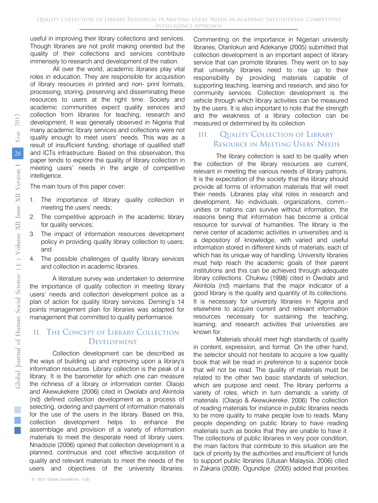useful in improving their library collections and services. Though libraries are not profit making oriented but the quality of their collections and services contribute immensely to research and development of the nation.

All over the world, academic libraries play vital roles in education. They are responsible for acquisition of library resources in printed and non- print formats, processing, storing, preserving and disseminating these resources to users at the right time. Society and academic communities expect quality services and collection from libraries for teaching, research and development. It was generally observed in Nigeria that many academic library services and collections were not quality enough to meet users' needs. This was as a result of insufficient funding; shortage of qualified staff and ICTs infrastructure. Based on this observation, this paper tends to explore the quality of library collection in meeting users' needs in the angle of competitive intelligence.

The main tours of this paper cover:

- 1. The importance of library quality collection in meeting the users' needs;
- 2. The competitive approach in the academic library for quality services;
- 3. The impact of information resources development policy in providing quality library collection to users; and
- 4. The possible challenges of quality library services and collection in academic libraries.

A literature survey was undertaken to determine the importance of quality collection in meeting library users' needs and collection development police as a plan of action for quality library services. Deming's 14 points management plan for libraries was adapted for management that committed to quality performance.

#### II. The Concept of Library Collection **DEVELOPMENT**

Collection development can be described as the ways of building up and improving upon a library's information resources. Library collection is the peak of a library. It is the barometer for which one can measure the richness of a library or information center. Olaojo and Akewukekere (2006) cited in Owolabi and Akintola (nd) defined collection development as a process of selecting, ordering and payment of information materials for the use of the users in the library. Based on this, collection development helps to enhance the assemblage and provision of a variety of information materials to meet the desperate need of library users. Nnadozie (2006) opined that collection development is a planned, continuous and cost effective acquisition of quality and relevant materials to meet the needs of the users and objectives of the university libraries.

Commenting on the importance in Nigerian university libraries, Olanlokun and Adekanye (2005) submitted that collection development is an important aspect of library service that can promote libraries. They went on to say that university libraries need to rise up to their responsibility by providing materials capable of supporting teaching, learning and research, and also for community services. Collection development is the vehicle through which library activities can be measured by the users. It is also important to note that the strength and the weakness of a library collection can be measured or determined by its collection

#### III. Quality Collection of Library Resource in Meeting Users' Needs

The library collection is said to be quality when the collection of the library resources are current, relevant in meeting the various needs of library patrons. It is the expectation of the society that the library should provide all forms of information materials that will meet their needs. Libraries play vital roles in research and development. No individuals, organizations, comm. unities or nations can survive without information, the reasons being that information has become a critical resource for survival of humanities. The library is the nerve center of academic activities in universities and is a depository of knowledge, with varied and useful information stored in different kinds of materials, each of which has its unique way of handling. University libraries must help reach the academic goals of their parent institutions and this can be achieved through adequate library collections. Chukwu (1998) cited in Owolabi and Akintola (nd) maintains that the major indicator of a good library is the quality and quantity of its collections. It is necessary for university libraries in Nigeria and elsewhere to acquire current and relevant information resources necessary for sustaining the teaching, learning, and research activities that universities are known for.

Materials should meet high standards of quality in content, expression, and format. On the other hand, the selector should not hesitate to acquire a low quality book that will be read in preference to a superior book that will not be read. The quality of materials must be related to the other two basic standards of selection, which are purpose and need. The library performs a variety of roles, which in turn demands a variety of materials. (Olaojo & Akewukereke, 2006) The collection of reading materials for instance in public libraries needs to be more quality to make people love to reads. Many people depending on public library to have reading materials such as books that they are unable to have it. The collections of public libraries in very poor condition, the main factors that contribute to this situation are the lack of priority by the authorities and insufficient of funds to support public libraries (Utusan Malaysia, 2006) cited in Zakaria (2009). Ogundipe (2005) added that priorities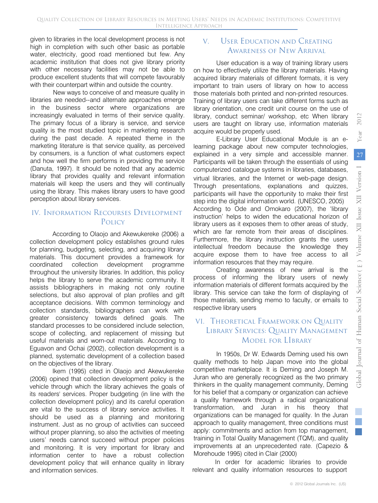2012

given to libraries in the local development process is not high in completion with such other basic as portable water, electricity, good road mentioned but few. Any academic institution that does not give library priority with other necessary facilities may not be able to produce excellent students that will compete favourably with their counterpart within and outside the country.

New ways to conceive of and measure quality in libraries are needed--and alternate approaches emerge in the business sector where organizations are increasingly evaluated in terms of their service quality. The primary focus of a library is service, and service quality is the most studied topic in marketing research during the past decade. A repeated theme in the marketing literature is that service quality, as perceived by consumers, is a function of what customers expect and how well the firm performs in providing the service (Danuta, 1997). It should be noted that any academic library that provides quality and relevant information materials will keep the users and they will continually using the library. This makes library users to have good perception about library services.

#### IV. Information Recourses Development Policy

According to Olaojo and Akewukereke (2006) a collection development policy establishes ground rules for planning, budgeting, selecting, and acquiring library materials. This document provides a framework for coordinated collection development programme throughout the university libraries. In addition, this policy helps the library to serve the academic community. It assists bibliographers in making not only routine selections, but also approval of plan profiles and gift acceptance decisions. With common terminology and collection standards, bibliographers can work with greater consistency towards defined goals. The standard processes to be considered include selection, scope of collecting, and replacement of missing but useful materials and worn-out materials. According to Eguavon and Ochai (2002), collection development is a planned, systematic development of a collection based on the objectives of the library.

Ikem (1995) cited in Olaojo and Akewukereke (2006) opined that collection development policy is the vehicle through which the library achieves the goals of its readers' services. Proper budgeting (in line with the collection development policy) and its careful operation are vital to the success of library service activities. It should be used as a planning and monitoring instrument. Just as no group of activities can succeed without proper planning, so also the activities of meeting users' needs cannot succeed without proper policies and monitoring. It is very important for library and information center to have a robust collection development policy that will enhance quality in library and information services.

#### V. User Education and Creating Awareness of New Arrival

User education is a way of training library users on how to effectively utilize the library materials. Having acquired library materials of different formats, it is very important to train users of library on how to access those materials both printed and non-printed resources. Training of library users can take different forms such as library orientation, one credit unit course on the use of library, conduct seminar/ workshop, etc When library users are taught on library use, information materials acquire would be properly used.

E-Library User Educational Module is an elearning package about new computer technologies, explained in a very simple and accessible manner. Participants will be taken through the essentials of using computerized catalogue systems in libraries, databases, virtual libraries, and the Internet or web-page design. Through presentations, explanations and quizzes, participants will have the opportunity to make their first step into the digital information world. (UNESCO, 2005) According to Ode and Omokaro (2007), the 'library instruction' helps to widen the educational horizon of library users as it exposes them to other areas of study, which are far remote from their areas of disciplines. Furthermore, the library instruction grants the users intellectual freedom because the knowledge they acquire expose them to have free access to all information resources that they may require.

Creating awareness of new arrival is the process of informing the library users of newly information materials of different formats acquired by the library. This service can take the form of displaying of those materials, sending memo to faculty, or emails to respective library users

#### VI. Theoretical Framework on Quality Library Services: Quality Management Model for LIbrary

In 1950s, Dr W. Edwards Deming used his own quality methods to help Japan move into the global competitive marketplace. It is Deming and Joseph M. Juran who are generally recognized as the two primary thinkers in the quality management community, Deming for his belief that a company or organization can achieve a quality framework through a radical organizational transformation, and Juran in his theory that organizations can be managed for quality. In the Juran approach to quality management, three conditions must apply: commitments and action from top management, training in Total Quality Management (TQM), and quality improvements at an unprecedented rate. (Capezio & Morehoude 1995) cited in Clair (2000)

In order for academic libraries to provide relevant and quality information resources to support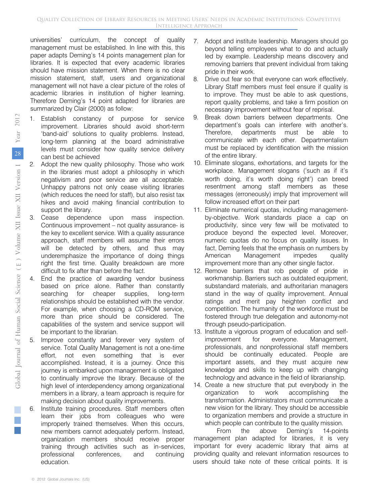universities' curriculum, the concept of quality management must be established. In line with this, this paper adapts Deming's 14 points management plan for libraries. It is expected that every academic libraries should have mission statement. When there is no clear mission statement, staff, users and organizational management will not have a clear picture of the roles of academic libraries in institution of higher learning. Therefore Deming's 14 point adapted for libraries are summarized by Clair (2000) as follow:

- 1. Establish constancy of purpose for service improvement. Libraries should avoid short-term 'band-aid' solutions to quality problems. Instead, long-term planning at the board administrative levels must consider how quality service delivery can best be achieved
- 2. Adopt the new quality philosophy. Those who work in the libraries must adopt a philosophy in which negativism and poor service are all acceptable. Unhappy patrons not only cease visiting libraries (which reduces the need for staff), but also resist tax hikes and avoid making financial contribution to support the library.
- 3. Cease dependence upon mass inspection. Continuous improvement – not quality assurance- is the key to excellent service. With a quality assurance approach, staff members will assume their errors will be detected by others, and thus may underemphasize the importance of doing things right the first time. Quality breakdown are more difficult to fix after than before the fact.
- 4. End the practice of awarding vendor business based on price alone. Rather than constantly searching for cheaper supplies, long-term relationships should be established with the vendor. For example, when choosing a CD-ROM service, more than price should be considered. The capabilities of the system and service support will be important to the librarian.
- Improve constantly and forever very system of service. Total Quality Management is not a one-time effort, not even something that is ever accomplished. Instead, it is a journey. Once this journey is embarked upon management is obligated to continually improve the library. Because of the high level of interdependency among organizational members in a library, a team approach is require for making decision about quality improvements.
- Institute training procedures. Staff members often learn their jobs from colleagues who were improperly trained themselves. When this occurs, new members cannot adequately perform. Instead, organization members should receive proper training through activities such as in-services, professional conferences, and continuing education.
- 7. Adopt and institute leadership. Managers should go beyond telling employees what to do and actually led by example. Leadership means discovery and removing barriers that prevent individual from taking pride in their work.
- 8. Drive out fear so that everyone can work effectively. Library Staff members must feel ensure if quality is to improve. They must be able to ask questions, report quality problems, and take a firm position on necessary improvement without fear of reprisal.
- 9. Break down barriers between departments. One department's goals can interfere with another's. Therefore, departments must be able to communicate with each other. Departmentalism must be replaced by identification with the mission of the entire library.
- 10. Eliminate slogans, exhortations, and targets for the workplace. Management slogans ('such as if it's worth doing, it's worth doing right') can breed resentment among staff members as these messages (erroneously) imply that improvement will follow increased effort on their part
- 11. Eliminate numerical quotas, including managementby-objective. Work standards place a cap on productivity, since very few will be motivated to produce beyond the expected level. Moreover, numeric quotas do no focus on quality issues. In fact, Deming feels that the emphasis on numbers by American Management impedes quality improvement more than any other single factor.
- 12. Remove barriers that rob people of pride in workmanship. Barriers such as outdated equipment, substandard materials, and authoritarian managers stand in the way of quality improvement. Annual ratings and merit pay heighten conflict and competition. The humanity of the workforce must be fostered through true delegation and autonomy-not through pseudo-participation.
- 13. Institute a vigorous program of education and selfimprovement for everyone. Management, professionals, and nonprofessional staff members should be continually educated. People are important assets, and they must acquire new knowledge and skills to keep up with changing technology and advance in the field of librarianship.
- 14. Create a new structure that put everybody in the organization to work accomplishing the transformation. Administrators must communicate a new vision for the library. They should be accessible to organization members and provide a structure in which people can contribute to the quality mission.

From the above Deming's 14-points management plan adapted for libraries, it is very important for every academic library that aims at providing quality and relevant information resources to users should take note of these critical points. It is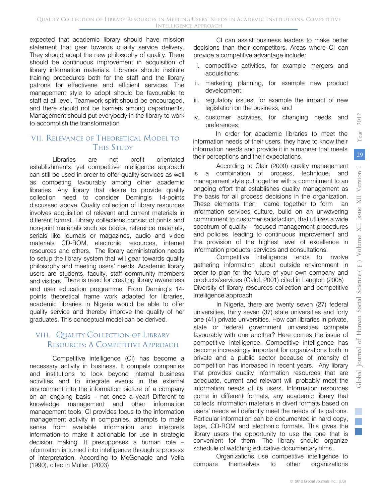2012

Year

Glo

expected that academic library should have mission statement that gear towards quality service delivery. They should adapt the new philosophy of quality. There should be continuous improvement in acquisition of library information materials. Libraries should institute training procedures both for the staff and the library patrons for effectivene and efficient services. The management style to adopt should be favourable to staff at all level. Teamwork spirit should be encouraged, and there should not be barriers among departments. Management should put everybody in the library to work to accomplish the transformation

#### VII. Relevance of Theoretical Model to **THIS STUDY**

Libraries are not profit orientated establishments; yet competitive intelligence approach can still be used in order to offer quality services as well as competing favourably among other academic libraries. Any library that desire to provide quality collection need to consider Deming's 14-points discussed above. Quality collection of library resources involves acquisition of relevant and current materials in different format. Library collections consist of prints and non-print materials such as books, reference materials, serials like journals or magazines, audio and video materials CD-ROM, electronic resources, internet resources and others. The library administration needs to setup the library system that will gear towards quality philosophy and meeting users' needs. Academic library users are students, faculty, staff community members and visitors. There is need for creating library awareness and user education programme. From Deming's 14 points theoretical frame work adapted for libraries, academic libraries in Nigeria would be able to offer quality service and thereby improve the quality of her graduates. This conceptual model can be derived.

#### VIII. Quality Collection of Library RESOURCES: A COMPETITIVE APPROACH

Competitive intelligence (CI) has become a necessary activity in business. It compels companies and institutions to look beyond internal business activities and to integrate events in the external environment into the information picture of a company on an ongoing basis – not once a year! Different to knowledge management and other information management tools, CI provides focus to the information management activity in companies, attempts to make sense from available information and interprets information to make it actionable for use in strategic decision making. It presupposes a human role – information is turned into intelligence through a process of interpretation. According to McGonagle and Vella (1990), cited in Muller, (2003)

CI can assist business leaders to make better decisions than their competitors. Areas where CI can provide a competitive advantage include:

- i. competitive activities, for example mergers and acquisitions;
- ii. marketing planning, for example new product development;
- iii. regulatory issues, for example the impact of new legislation on the business; and
- iv. customer activities, for changing needs and preferences;

In order for academic libraries to meet the information needs of their users, they have to know their information needs and provide it in a manner that meets their perceptions and their expectations.

According to Clair (2000) quality management is a combination of process, technique, and management style put together with a commitment to an ongoing effort that establishes quality management as the basis for all process decisions in the organization. These elements then came together to form an information services culture, build on an unwavering commitment to customer satisfaction, that utilizes a wide spectrum of quality – focused management procedures and policies, leading to continuous improvement and the provision of the highest level of excellence in information products, services and consultations.

Competitive intelligence tends to involve gathering information about outside environment in order to plan for the future of your own company and products/services (Calof, 2001) cited in Langton (2005) Diversity of library resources collection and competitive intelligence approach

In Nigeria, there are twenty seven (27) federal universities, thirty seven (37) state universities and forty one (41) private universities. How can libraries in private, state or federal government universities compete favourably with one another? Here comes the issue of competitive intelligence. Competitive intelligence has become increasingly important for organizations both in private and a public sector because of intensity of competition has increased in recent years. Any library that provides quality information resources that are adequate, current and relevant will probably meet the information needs of its users. Information resources come in different formats, any academic library that collects information materials in divert formats based on users' needs will defiantly meet the needs of its patrons. Particular information can be documented in hard copy, tape, CD-ROM and electronic formats. This gives the library users the opportunity to use the one that is convenient for them. The library should organize schedule of watching educative documentary films.

Organizations use competitive intelligence to compare themselves to other organizations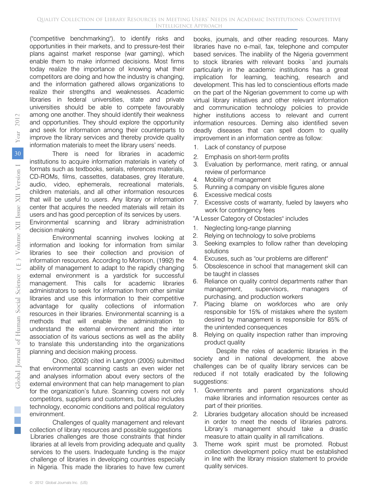("competitive benchmarking"), to identify risks and opportunities in their markets, and to pressure-test their plans against market response (war gaming), which enable them to make informed decisions. Most firms today realize the importance of knowing what their competitors are doing and how the industry is changing, and the information gathered allows organizations to realize their strengths and weaknesses. Academic libraries in federal universities, state and private universities should be able to compete favourably among one another. They should identify their weakness and opportunities. They should explore the opportunity and seek for information among their counterparts to improve the library services and thereby provide quality information materials to meet the library users' needs.

There is need for libraries in academic institutions to acquire information materials in variety of formats such as textbooks, serials, references materials, CD-ROMs, films, cassettes, databases, grey literature, audio, video, ephemerals, recreational materials, children materials, and all other information resources that will be useful to users. Any library or information center that acquires the needed materials will retain its users and has good perception of its services by users. Environmental scanning and library administration decision making

Environmental scanning involves looking at information and looking for information from similar libraries to see their collection and provision of information resources. According to Morrison, (1992) the ability of management to adapt to the rapidly changing external environment is a yardstick for successful management. This calls for academic libraries administrators to seek for information from other similar libraries and use this information to their competitive advantage for quality collections of information resources in their libraries. Environmental scanning is a methods that will enable the administration to understand the external environment and the inter association of its various sections as well as the ability to translate this understanding into the organizations planning and decision making process.

Choo, (2002) cited in Langton (2005) submitted that environmental scanning casts an even wider net and analyses information about every sectors of the external environment that can help management to plan for the organization's future. Scanning covers not only competitors, suppliers and customers, but also includes technology, economic conditions and political regulatory environment.

Challenges of quality management and relevant collection of library resources and possible suggestions Libraries challenges are those constraints that hinder libraries at all levels from providing adequate and quality services to the users. Inadequate funding is the major challenge of libraries in developing countries especially in Nigeria. This made the libraries to have few current

books, journals, and other reading resources. Many libraries have no e-mail, fax, telephone and computer based services. The inability of the Nigeria government to stock libraries with relevant books `and journals particularly in the academic institutions has a great implication for learning, teaching, research and development. This has led to conscientious efforts made on the part of the Nigerian government to come up with virtual library initiatives and other relevant information and communication technology policies to provide higher institutions access to relevant and current information resources. Deming also identified seven deadly diseases that can spell doom to quality improvement in an information centre as follow:

- 1. Lack of constancy of purpose
- 2. Emphasis on short-term profits
- 3. Evaluation by performance, merit rating, or annual review of performance
- 4. Mobility of management
- 5. Running a company on visible figures alone
- 6. Excessive medical costs
- 7. Excessive costs of warranty, fueled by lawyers who work for contingency fees
- "A Lesser Category of Obstacles" includes
- 1. Neglecting long-range planning
- 2. Relying on technology to solve problems
- 3. Seeking examples to follow rather than developing solutions
- 4. Excuses, such as "our problems are different"
- 5. Obsolescence in school that management skill can be taught in classes
- 6. Reliance on quality control departments rather than management, supervisors, managers of purchasing, and production workers
- 7. Placing blame on workforces who are only responsible for 15% of mistakes where the system desired by management is responsible for 85% of the unintended consequences
- 8. Relying on quality inspection rather than improving product quality

Despite the roles of academic libraries in the society and in national development, the above challenges can be of quality library services can be reduced if not totally eradicated by the following suggestions:

- 1. Governments and parent organizations should make libraries and information resources center as part of their priorities.
- 2. Libraries budgetary allocation should be increased in order to meet the needs of libraries patrons. Library's management should take a drastic measure to attain quality in all ramifications.
- 3. Theme work spirit must be promoted. Robust collection development policy must be established in line with the library mission statement to provide quality services.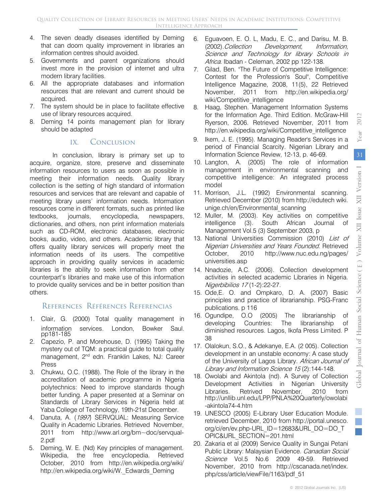2012

- 4. The seven deadly diseases identified by Deming that can doom quality improvement in libraries an information centres should avoided.
- 5. Governments and parent organizations should invest more in the provision of internet and ultra modern library facilities.
- 6. All the appropriate databases and information resources that are relevant and current should be acquired.
- 7. The system should be in place to facilitate effective use of library resources acquired.
- 8. Deming 14 points management plan for library should be adapted

#### IX. Conclusion

In conclusion, library is primary set up to acquire, organize, store, preserve and disseminate information resources to users as soon as possible in meeting their information needs. Quality library collection is the setting of high standard of information resources and services that are relevant and capable of meeting library users' information needs. Information resources come in different formats, such as printed like textbooks, journals, encyclopedia, newspapers, dictionaries, and others, non print information materials such as CD-ROM, electronic databases, electronic books, audio, video, and others. Academic library that offers quality library services will properly meet the information needs of its users. The competitive approach in providing quality services in academic libraries is the ability to seek information from other counterpart's libraries and make use of this information to provide quality services and be in better position than others.

#### References Références Referencias

- 1. Clair, G. (2000) Total quality management in information services. London, Bowker Saul. pp181-185
- 2. Capezio, P. and Morehouse, D. (1995) Taking the mystery out of TQM: a practical guide to total quality management, 2nd edn. Franklin Lakes, NJ: Career Press
- 3. Chukwu, O.C. (1988). The Role of the library in the accreditation of academic programme in Nigeria polytechnics: Need to improve standards though better funding. A paper presented at a Seminar on Standards of Library Services in Nigeria held at Yaba College of Technology, 19th-21st December.
- 4. Danuta, A. (1997) SERVQUAL: Measuring Service Quality in Academic Libraries. Retrieved November, 2011 from http://www.arl.org/bm~doc/servqual-2.pdf
- 5. Deming, W. E. (Nd) Key principles of management. Wikipedia, the free encyclopedia. Retrieved October, 2010 from http://en.wikipedia.org/wiki/ http://en.wikipedia.org/wiki/W.\_Edwards\_Deming
- 6. Eguavoen, E. O. L, Madu, E. C., and Darisu, M. B. (2002).Collection Development, Information, Science and Technology for library Schools in Africa. Ibadan - Celeman, 2002 pp 122-138.
- 7. Gilad, Ben. "The Future of Competitive Intelligence: Contest for the Profession's Soul", Competitive Intelligence Magazine, 2008, 11(5), 22 Retrieved November, 2011 from http://en.wikipedia.org/ wiki/Competitive\_intelligence
- 8. Haag, Stephen. Management Information Systems for the Information Age. Third Edition. McGraw-Hill Ryerson, 2006. Retrieved November, 2011 from http://en.wikipedia.org/wiki/Competitive\_intelligence
- 9. Ikem, J. E. (1995). Managing Reader's Services in a period of Financial Scarcity. Nigerian Library and Information Science Review, 12-13, p. 46-69.
- 10. Langton, A. (2005) The role of information management in environmental scanning and competitive intelligence: An integrated process model
- 11. Morrison, J.L. (1992) Environmental scanning. Retrieved December (2010) from http://edutech wiki. unige.ch/en/Environmental\_scanning
- 12. Muller, M. (2003). Key activities on competitive intelligence (3). South African Journal of Management Vol.5 (3) September 2003, p
- 13. National Universities Commission (2010) List of Nigerian Universities and Years Founded. Retrieved October, 2010 http://www.nuc.edu.ng/pages/ universities.asp
- 14. Nnadozie, A.C. (2006). Collection development activities in selected academic Libraries in Nigeria. Nigerbibilios 17 (1-2):22-27.
- 15. Ode,E. O. and Ompkaro, D. A. (2007) Basic principles and practice of librarianship. PSG-Franc publications. p 116
- 16. Ogundipe, O.O (2005) The librarianship of developing Countries: The librarianship of diminished resources. Lagos, Ikofa Press Limited. P 38
- 17. Olalokun, S.O., & Adekanye, E.A. (2 005). Collection development in an unstable economy: A case study of the University of Lagos Library. African Journal of Library and Information Science 15 (2):144-148.
- 18. Owolabi and Akintola (nd). A Survey of Collection Development Activities in Nigerian University Libraries. Retrived November, 2010 from http://unllib.unl.edu/LPP/PNLA%20Quarterly/owolabi -akintola74-4.htm
- 19. UNESCO (2005) E-Library User Education Module. retrieved December, 2010 from http://portal.unesco. org/ci/en/ev.php-URL\_ID=12683&URL\_DO=DO\_T OPIC&URL\_SECTION=201.html
- 20. Zakaria et al (2009) Service Quality in Sungai Petani Public Library: Malaysian Evidence. Canadian Social Science Vol.5 No.6 2009 49-59. Retrieved November, 2010 from http://cscanada.net/index. php/css/article/viewFile/1163/pdf\_51